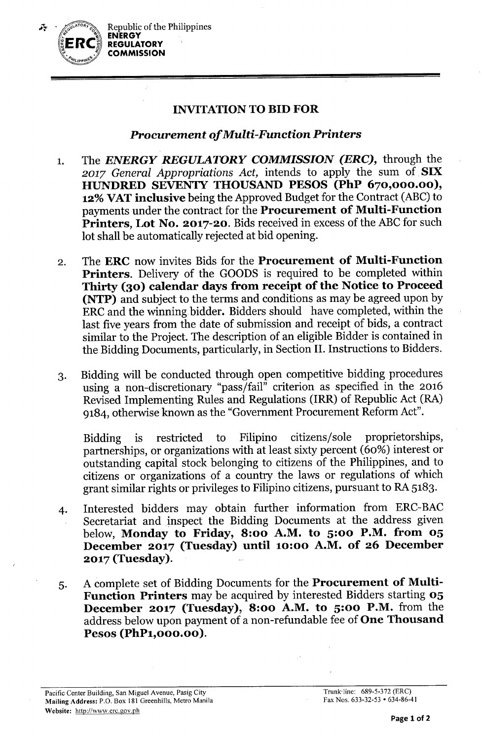

## INVITATIONTOBID FOR

## *Procurement of Multi-Function Printers*

- 1. The *ENERGY REGULATORY COMMISSION (ERC),* through the *2017 General Appropriations Act,* intends to apply the sum of SIX HUNDRED SEVENfY THOUSAND PESOS (PhP 670,000.00), 12% VAT inclusive being the Approved Budget for the Contract (ABC) to payments under the contract for the Procurement of Multi-Function Printers, Lot No. 2017-20. Bids received in excess of the ABC for such lot shall be automatically rejected at bid opening.
- 2. The ERC now invites Bids for the Procurement of Multi-Function Printers. Delivery of the GOODS is required to be completed within Thirty (30) calendar days from receipt of the Notice to Proceed (NTP) and subject to the terms and conditions as may be agreed upon by ERC and the winning. bidder. Bidders should have completed, within the last five years from the date of submission and receipt of bids, a contract similar to the Project. The description of an eligible Bidder is contained in the Bidding Documents, particularly, in Section II. Instructions to Bidders.
- 3. Bidding will be conducted through open competitive bidding procedures using a non-discretionary "pass/fail" criterion as specified in the 2016 Revised Implementing Rules and Regulations (IRR) of Republic Act (RA) 9184, otherwise known as the "Government Procurement Reform Act".

Bidding is restricted to Filipino citizens/sole proprietorships, partnerships, or organizations with at least sixty percent (60%) interest or outstanding capital stock belonging to citizens of the Philippines, and to citizens or organizations of a country the laws or regulations of which grant similar rights or privileges to Filipino citizens, pursuant to RA 5183.

- 4. Interested bidders may obtain further information from ERC-BAC Secretariat and inspect the Bidding Documents at the address given below, Monday to Friday, 8:00 A.M. to 5:00 P.M. from 05 December 2017 (Tuesday) until 10:00 A.M. of 26 December 2017 (Tuesday).
- 5. A complete set of Bidding Documents for the Procurement of Multi-Function Printers may be acquired by interested Bidders starting 05 December 2017 (Tuesday), 8:00 A.M. to 5:00 P.M. from the address below upon payment of a non-refundable fee of One Thousand Pesos (PhP1,000.00).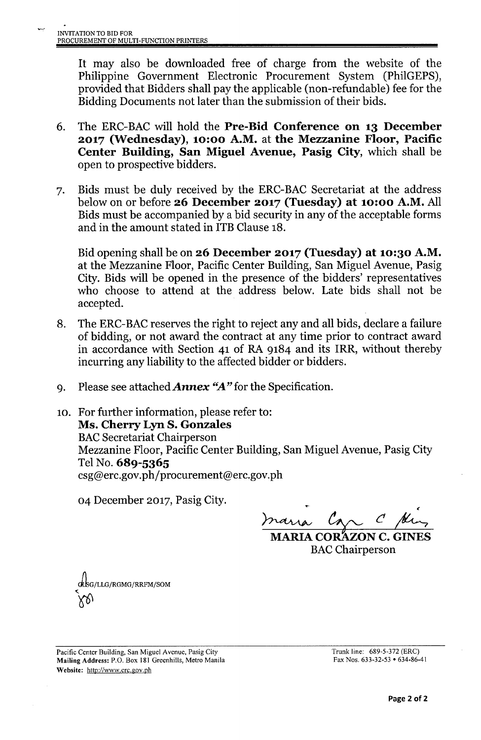It may also be downloaded free of charge from the website of the Philippine Government Electronic Procurement System (PhilGEPS), provided that Bidders shall pay the applicable (non-refundable) fee for the Bidding Documents not later than the submission of their bids.

- 6. The ERC-BAC will hold the Pre-Bid Conference on 13 December 2017 (Wednesday), 10:00 A.M. at the Mezzanine Floor, Pacific Center Building, San Miguel Avenue, Pasig City, which shall be open to prospective bidders.
- 7. Bids must be duly received by the ERC-BAC Secretariat at the address below on or before 26 December 2017 (Tuesday) at 10:00 A.M. All Bids must be accompanied by a bid security in any of the acceptable forms and in the amount stated in ITB Clause 18.

Bid opening shall be on 26 December 2017 (Tuesday) at 10:30 A.M. at the Mezzanine Floor, Pacific Center Building, San Miguel Avenue, Pasig City. Bids will be opened in the presence of the bidders' representatives who choose to attend at the address below. Late bids shall not be accepted.

- 8. The ERC-BAC reserves the right to reject any and all bids, declare a failure of bidding, or not award the contract at any time prior to contract award in accordance with Section 41 of RA 9184 and its IRR, without thereby incurring any liability to the affected bidder or bidders.
- 9. Please see attached *Annex "A"* for the Specification.
- 10. For further information, please refer to: Ms. Cherry Lyn S. Gonzales **BAC Secretariat Chairperson** Mezzanine Floor, Pacific Center Building, San Miguel Avenue, Pasig City Tel No. 689-5365 csg@erc.gov.ph/procurement@erc.gov.ph

04 December 2017, Pasig City.

~ *~ ~r36*

MARIA CORAZON C. GINES **BAC** Chairperson

J1.G/LLG/RGMG/RRFM/SOM  $\sqrt{2}$ 

Pacific Center Building, San Miguel Avenue, Pasig City Mailing Address: P.O. Box 181 Greenhills, Metro Manila Website: <http://www.erc.gov.ph>

Trunk line: 689-5-372 (ERC) Fax Nos. 633-32-53 • 634.86.41